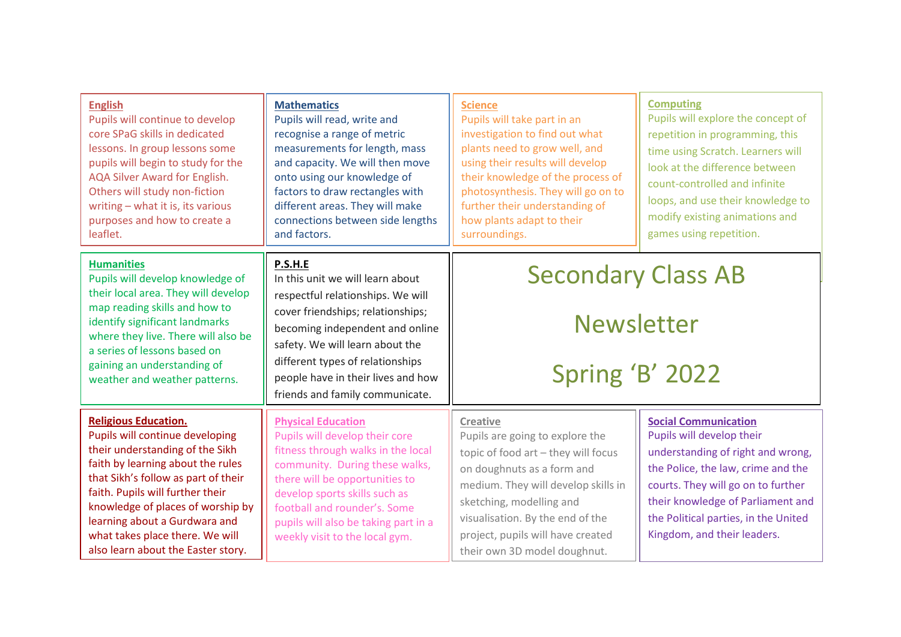| <b>English</b><br>Pupils will continue to develop<br>core SPaG skills in dedicated<br>lessons. In group lessons some<br>pupils will begin to study for the<br>AQA Silver Award for English.<br>Others will study non-fiction<br>writing - what it is, its various<br>purposes and how to create a<br>leaflet.                                                    | <b>Mathematics</b><br>Pupils will read, write and<br>recognise a range of metric<br>measurements for length, mass<br>and capacity. We will then move<br>onto using our knowledge of<br>factors to draw rectangles with<br>different areas. They will make<br>connections between side lengths<br>and factors.    | <b>Science</b><br>Pupils will take part in an<br>investigation to find out what<br>plants need to grow well, and<br>using their results will develop<br>their knowledge of the process of<br>photosynthesis. They will go on to<br>further their understanding of<br>how plants adapt to their<br>surroundings. | <b>Computing</b><br>Pupils will explore the concept of<br>repetition in programming, this<br>time using Scratch. Learners will<br>look at the difference between<br>count-controlled and infinite<br>loops, and use their knowledge to<br>modify existing animations and<br>games using repetition. |
|------------------------------------------------------------------------------------------------------------------------------------------------------------------------------------------------------------------------------------------------------------------------------------------------------------------------------------------------------------------|------------------------------------------------------------------------------------------------------------------------------------------------------------------------------------------------------------------------------------------------------------------------------------------------------------------|-----------------------------------------------------------------------------------------------------------------------------------------------------------------------------------------------------------------------------------------------------------------------------------------------------------------|-----------------------------------------------------------------------------------------------------------------------------------------------------------------------------------------------------------------------------------------------------------------------------------------------------|
| <b>Humanities</b><br>Pupils will develop knowledge of<br>their local area. They will develop<br>map reading skills and how to<br>identify significant landmarks<br>where they live. There will also be<br>a series of lessons based on<br>gaining an understanding of<br>weather and weather patterns.                                                           | P.S.H.E<br>In this unit we will learn about<br>respectful relationships. We will<br>cover friendships; relationships;<br>becoming independent and online<br>safety. We will learn about the<br>different types of relationships<br>people have in their lives and how<br>friends and family communicate.         | <b>Secondary Class AB</b><br><b>Newsletter</b><br>Spring 'B' 2022                                                                                                                                                                                                                                               |                                                                                                                                                                                                                                                                                                     |
| <b>Religious Education.</b><br>Pupils will continue developing<br>their understanding of the Sikh<br>faith by learning about the rules<br>that Sikh's follow as part of their<br>faith. Pupils will further their<br>knowledge of places of worship by<br>learning about a Gurdwara and<br>what takes place there. We will<br>also learn about the Easter story. | <b>Physical Education</b><br>Pupils will develop their core<br>fitness through walks in the local<br>community. During these walks,<br>there will be opportunities to<br>develop sports skills such as<br>football and rounder's. Some<br>pupils will also be taking part in a<br>weekly visit to the local gym. | <b>Creative</b><br>Pupils are going to explore the<br>topic of food art - they will focus<br>on doughnuts as a form and<br>medium. They will develop skills in<br>sketching, modelling and<br>visualisation. By the end of the<br>project, pupils will have created<br>their own 3D model doughnut.             | <b>Social Communication</b><br>Pupils will develop their<br>understanding of right and wrong,<br>the Police, the law, crime and the<br>courts. They will go on to further<br>their knowledge of Parliament and<br>the Political parties, in the United<br>Kingdom, and their leaders.               |